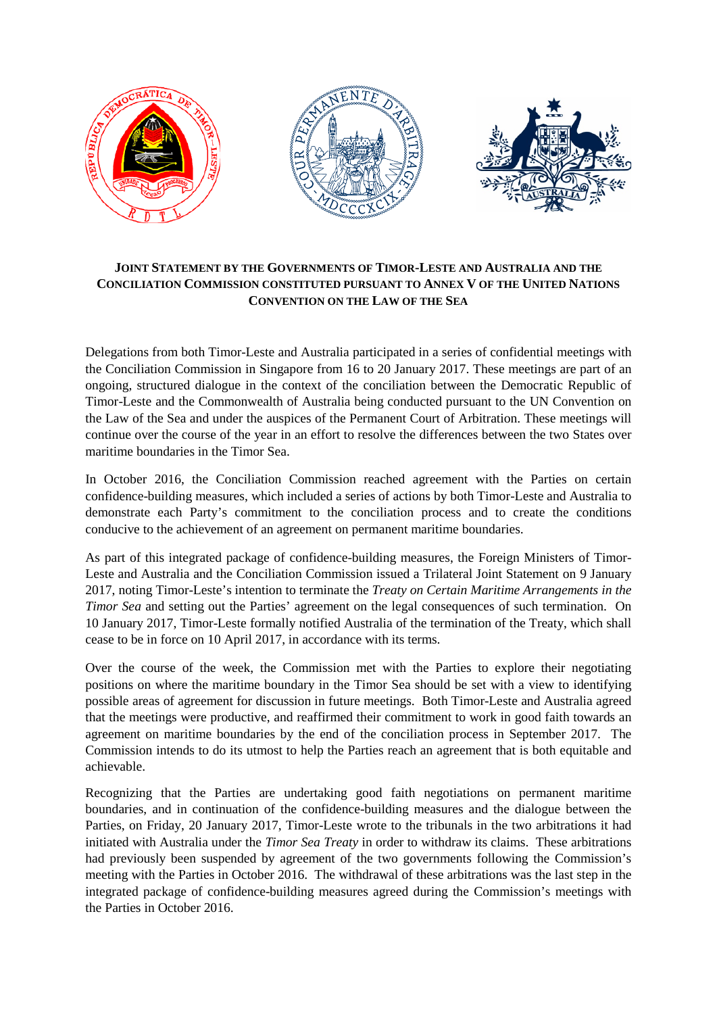

## **JOINT STATEMENT BY THE GOVERNMENTS OF TIMOR-LESTE AND AUSTRALIA AND THE CONCILIATION COMMISSION CONSTITUTED PURSUANT TO ANNEX V OF THE UNITED NATIONS CONVENTION ON THE LAW OF THE SEA**

Delegations from both Timor-Leste and Australia participated in a series of confidential meetings with the Conciliation Commission in Singapore from 16 to 20 January 2017. These meetings are part of an ongoing, structured dialogue in the context of the conciliation between the Democratic Republic of Timor-Leste and the Commonwealth of Australia being conducted pursuant to the UN Convention on the Law of the Sea and under the auspices of the Permanent Court of Arbitration. These meetings will continue over the course of the year in an effort to resolve the differences between the two States over maritime boundaries in the Timor Sea.

In October 2016, the Conciliation Commission reached agreement with the Parties on certain confidence-building measures, which included a series of actions by both Timor-Leste and Australia to demonstrate each Party's commitment to the conciliation process and to create the conditions conducive to the achievement of an agreement on permanent maritime boundaries.

As part of this integrated package of confidence-building measures, the Foreign Ministers of Timor-Leste and Australia and the Conciliation Commission issued a Trilateral Joint Statement on 9 January 2017, noting Timor-Leste's intention to terminate the *Treaty on Certain Maritime Arrangements in the Timor Sea* and setting out the Parties' agreement on the legal consequences of such termination. On 10 January 2017, Timor-Leste formally notified Australia of the termination of the Treaty, which shall cease to be in force on 10 April 2017, in accordance with its terms.

Over the course of the week, the Commission met with the Parties to explore their negotiating positions on where the maritime boundary in the Timor Sea should be set with a view to identifying possible areas of agreement for discussion in future meetings. Both Timor-Leste and Australia agreed that the meetings were productive, and reaffirmed their commitment to work in good faith towards an agreement on maritime boundaries by the end of the conciliation process in September 2017. The Commission intends to do its utmost to help the Parties reach an agreement that is both equitable and achievable.

Recognizing that the Parties are undertaking good faith negotiations on permanent maritime boundaries, and in continuation of the confidence-building measures and the dialogue between the Parties, on Friday, 20 January 2017, Timor-Leste wrote to the tribunals in the two arbitrations it had initiated with Australia under the *Timor Sea Treaty* in order to withdraw its claims. These arbitrations had previously been suspended by agreement of the two governments following the Commission's meeting with the Parties in October 2016. The withdrawal of these arbitrations was the last step in the integrated package of confidence-building measures agreed during the Commission's meetings with the Parties in October 2016.